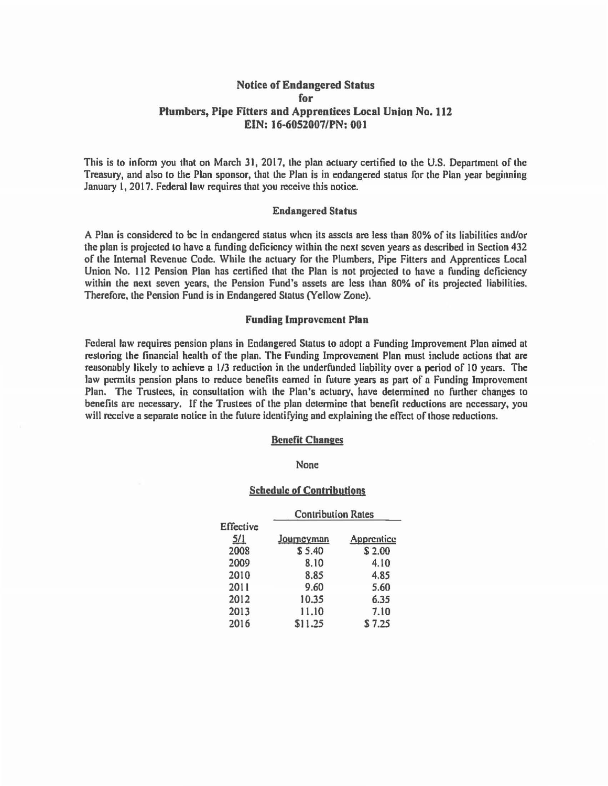# Notice of Endangered Status for Plumbers, Pipe Fitters and Apprentices Local Union No. 112 EIN: 16-6052007/PN: 001

This is to infonn you that on March 31, 2017, the plan actuary certified to the U.S. Department of the Treasury, and also to the Plan sponsor, that the Plan is in endangered status for the Plan year beginning January 1, 2017. Federal law requires that you receive this notice.

## Endangered Status

A Pinn is considered to be in endangered status when its assets are less than 80% of its liabilities and/or the plan is projected to have a funding deficiency within the next seven years as described in Section 432 of the Internal Revenue Code. While the actuary for the Plumbers, Pipe Fitters and Apprentices local Union No. 112 Pension Plan has certified that the Plan is not projected to have a funding deficiency within the next seven years, the Pension Fund's assets are less than 80% of its projected liabilities. Therefore, the Pension Fund is in Endangered Status (Yellow Zone).

#### Funding Improvement Plan

federal law requires pension plans in Endangered Status to adopt a Funding Improvement Pion aimed at restoring the financial health of the plan. The Funding Improvement Pinn must include actions that are reasonably likely to achieve a 1/3 reduction in the underfunded liability over a period of IO years. The law permits pension plans to reduce benefits earned in future years as part of a Funding Improvement Plan. The Trustees, in consultation with the Plan's actuary, have determined no further changes to benefits arc necessary. If the Trustees of the plan determine that benefit reductions arc necessary, you will receive a separate notice in the future identifying and explaining the effect of those reductions.

## Benefit Changes

#### None

#### Schedule of Contributions

|                  | <b>Contribution Rates</b> |            |
|------------------|---------------------------|------------|
| <b>Effective</b> |                           |            |
| 5/1              | Journeyman                | Apprentice |
| 2008             | \$5.40                    | \$2.00     |
| 2009             | 8.10                      | 4.10       |
| 2010             | 8.85                      | 4.85       |
| 2011             | 9.60                      | 5.60       |
| 2012             | 10.35                     | 6.35       |
| 2013             | 11.10                     | 7.10       |
| 2016             | \$11.25                   | \$7.25     |